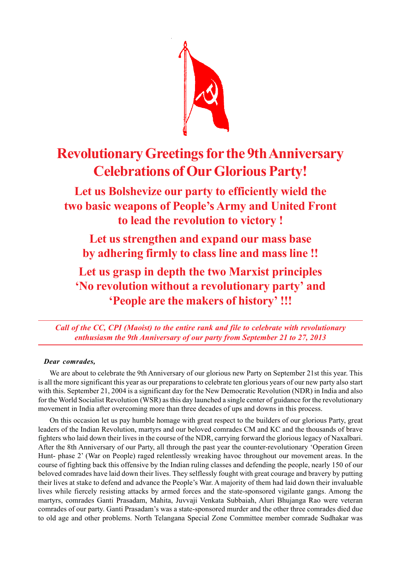

# **Revolutionary Greetings for the 9th Anniversary Celebrations of Our Glorious Party!**

## **Let us Bolshevize our party to efficiently wield the two basic weapons of People's Army and United Front to lead the revolution to victory !**

**Let us strengthen and expand our mass base by adhering firmly to class line and mass line !!**

**Let us grasp in depth the two Marxist principles 'No revolution without a revolutionary party' and 'People are the makers of history' !!!**

*Call of the CC, CPI (Maoist) to the entire rank and file to celebrate with revolutionary enthusiasm the 9th Anniversary of our party from September 21 to 27, 2013*

### *Dear comrades,*

We are about to celebrate the 9th Anniversary of our glorious new Party on September 21st this year. This is all the more significant this year as our preparations to celebrate ten glorious years of our new party also start with this. September 21, 2004 is a significant day for the New Democratic Revolution (NDR) in India and also for the World Socialist Revolution (WSR) as this day launched a single center of guidance for the revolutionary movement in India after overcoming more than three decades of ups and downs in this process.

On this occasion let us pay humble homage with great respect to the builders of our glorious Party, great leaders of the Indian Revolution, martyrs and our beloved comrades CM and KC and the thousands of brave fighters who laid down their lives in the course of the NDR, carrying forward the glorious legacy of Naxalbari. After the 8th Anniversary of our Party, all through the past year the counter-revolutionary 'Operation Green Hunt- phase 2' (War on People) raged relentlessly wreaking havoc throughout our movement areas. In the course of fighting back this offensive by the Indian ruling classes and defending the people, nearly 150 of our beloved comrades have laid down their lives. They selflessly fought with great courage and bravery by putting their lives at stake to defend and advance the People's War. A majority of them had laid down their invaluable lives while fiercely resisting attacks by armed forces and the state-sponsored vigilante gangs. Among the martyrs, comrades Ganti Prasadam, Mahita, Juvvaji Venkata Subbaiah, Aluri Bhujanga Rao were veteran comrades of our party. Ganti Prasadam's was a state-sponsored murder and the other three comrades died due to old age and other problems. North Telangana Special Zone Committee member comrade Sudhakar was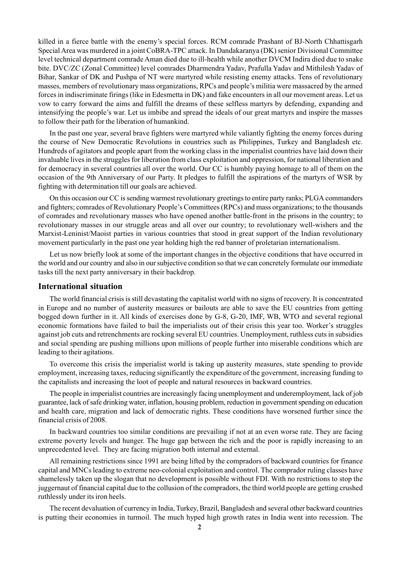killed in a fierce battle with the enemy's special forces. RCM comrade Prashant of BJ-North Chhattisgarh Special Area was murdered in a joint CoBRA-TPC attack. In Dandakaranya (DK) senior Divisional Committee level technical department comrade Aman died due to ill-health while another DVCM Indira died due to snake bite. DVC/ZC (Zonal Committee) level comrades Dharmendra Yadav, Prafulla Yadav and Mithilesh Yadav of Bihar, Sankar of DK and Pushpa of NT were martyred while resisting enemy attacks. Tens of revolutionary masses, members of revolutionary mass organizations, RPCs and people's militia were massacred by the armed forces in indiscriminate firings (like in Edesmetta in DK) and fake encounters in all our movement areas. Let us vow to carry forward the aims and fulfill the dreams of these selfless martyrs by defending, expanding and intensifying the people's war. Let us imbibe and spread the ideals of our great martyrs and inspire the masses to follow their path for the liberation of humankind.

In the past one year, several brave fighters were martyred while valiantly fighting the enemy forces during the course of New Democratic Revolutions in countries such as Philippines, Turkey and Bangladesh etc. Hundreds of agitators and people apart from the working class in the imperialist countries have laid down their invaluable lives in the struggles for liberation from class exploitation and oppression, for national liberation and for democracy in several countries all over the world. Our CC is humbly paying homage to all of them on the occasion of the 9th Anniversary of our Party. It pledges to fulfill the aspirations of the martyrs of WSR by fighting with determination till our goals are achieved.

On this occasion our CC is sending warmest revolutionary greetings to entire party ranks; PLGA commanders and fighters; comrades of Revolutionary People's Committees (RPCs) and mass organizations; to the thousands of comrades and revolutionary masses who have opened another battle-front in the prisons in the country; to revolutionary masses in our struggle areas and all over our country; to revolutionary well-wishers and the Marxist-Leninist/Maoist parties in various countries that stood in great support of the Indian revolutionary movement particularly in the past one year holding high the red banner of proletarian internationalism.

Let us now briefly look at some of the important changes in the objective conditions that have occurred in the world and our country and also in our subjective condition so that we can concretely formulate our immediate tasks till the next party anniversary in their backdrop.

#### **International situation**

The world financial crisis is still devastating the capitalist world with no signs of recovery. It is concentrated in Europe and no number of austerity measures or bailouts are able to save the EU countries from getting bogged down further in it. All kinds of exercises done by G-8, G-20, IMF, WB, WTO and several regional economic formations have failed to bail the imperialists out of their crisis this year too. Worker's struggles against job cuts and retrenchments are rocking several EU countries. Unemployment, ruthless cuts in subsidies and social spending are pushing millions upon millions of people further into miserable conditions which are leading to their agitations.

To overcome this crisis the imperialist world is taking up austerity measures, state spending to provide employment, increasing taxes, reducing significantly the expenditure of the government, increasing funding to the capitalists and increasing the loot of people and natural resources in backward countries.

The people in imperialist countries are increasingly facing unemployment and underemployment, lack of job guarantee, lack of safe drinking water, inflation, housing problem, reduction in government spending on education and health care, migration and lack of democratic rights. These conditions have worsened further since the financial crisis of 2008.

In backward countries too similar conditions are prevailing if not at an even worse rate. They are facing extreme poverty levels and hunger. The huge gap between the rich and the poor is rapidly increasing to an unprecedented level. They are facing migration both internal and external.

All remaining restrictions since 1991 are being lifted by the compradors of backward countries for finance capital and MNCs leading to extreme neo-colonial exploitation and control. The comprador ruling classes have shamelessly taken up the slogan that no development is possible without FDI. With no restrictions to stop the juggernaut of financial capital due to the collusion of the compradors, the third world people are getting crushed ruthlessly under its iron heels.

The recent devaluation of currency in India, Turkey, Brazil, Bangladesh and several other backward countries is putting their economies in turmoil. The much hyped high growth rates in India went into recession. The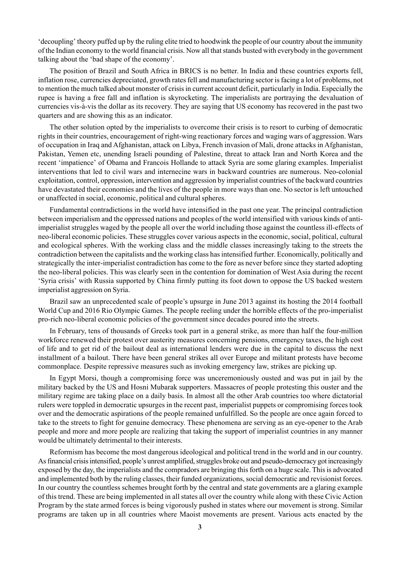'decoupling' theory puffed up by the ruling elite tried to hoodwink the people of our country about the immunity of the Indian economy to the world financial crisis. Now all that stands busted with everybody in the government talking about the 'bad shape of the economy'.

The position of Brazil and South Africa in BRICS is no better. In India and these countries exports fell, inflation rose, currencies depreciated, growth rates fell and manufacturing sector is facing a lot of problems, not to mention the much talked about monster of crisis in current account deficit, particularly in India. Especially the rupee is having a free fall and inflation is skyrocketing. The imperialists are portraying the devaluation of currencies vis-à-vis the dollar as its recovery. They are saying that US economy has recovered in the past two quarters and are showing this as an indicator.

The other solution opted by the imperialists to overcome their crisis is to resort to curbing of democratic rights in their countries, encouragement of right-wing reactionary forces and waging wars of aggression. Wars of occupation in Iraq and Afghanistan, attack on Libya, French invasion of Mali, drone attacks in Afghanistan, Pakistan, Yemen etc, unending Israeli pounding of Palestine, threat to attack Iran and North Korea and the recent 'impatience' of Obama and Francois Hollande to attack Syria are some glaring examples. Imperialist interventions that led to civil wars and internecine wars in backward countries are numerous. Neo-colonial exploitation, control, oppression, intervention and aggression by imperialist countries of the backward countries have devastated their economies and the lives of the people in more ways than one. No sector is left untouched or unaffected in social, economic, political and cultural spheres.

Fundamental contradictions in the world have intensified in the past one year. The principal contradiction between imperialism and the oppressed nations and peoples of the world intensified with various kinds of antiimperialist struggles waged by the people all over the world including those against the countless ill-effects of neo-liberal economic policies. These struggles cover various aspects in the economic, social, political, cultural and ecological spheres. With the working class and the middle classes increasingly taking to the streets the contradiction between the capitalists and the working class has intensified further. Economically, politically and strategically the inter-imperialist contradiction has come to the fore as never before since they started adopting the neo-liberal policies. This was clearly seen in the contention for domination of West Asia during the recent 'Syria crisis' with Russia supported by China firmly putting its foot down to oppose the US backed western imperialist aggression on Syria.

Brazil saw an unprecedented scale of people's upsurge in June 2013 against its hosting the 2014 football World Cup and 2016 Rio Olympic Games. The people reeling under the horrible effects of the pro-imperialist pro-rich neo-liberal economic policies of the government since decades poured into the streets.

In February, tens of thousands of Greeks took part in a general strike, as more than half the four-million workforce renewed their protest over austerity measures concerning pensions, emergency taxes, the high cost of life and to get rid of the bailout deal as international lenders were due in the capital to discuss the next installment of a bailout. There have been general strikes all over Europe and militant protests have become commonplace. Despite repressive measures such as invoking emergency law, strikes are picking up.

In Egypt Morsi, though a compromising force was unceremoniously ousted and was put in jail by the military backed by the US and Hosni Mubarak supporters. Massacres of people protesting this ouster and the military regime are taking place on a daily basis. In almost all the other Arab countries too where dictatorial rulers were toppled in democratic upsurges in the recent past, imperialist puppets or compromising forces took over and the democratic aspirations of the people remained unfulfilled. So the people are once again forced to take to the streets to fight for genuine democracy. These phenomena are serving as an eye-opener to the Arab people and more and more people are realizing that taking the support of imperialist countries in any manner would be ultimately detrimental to their interests.

Reformism has become the most dangerous ideological and political trend in the world and in our country. As financial crisis intensified, people's unrest amplified, struggles broke out and pseudo-democracy got increasingly exposed by the day, the imperialists and the compradors are bringing this forth on a huge scale. This is advocated and implemented both by the ruling classes, their funded organizations, social democratic and revisionist forces. In our country the countless schemes brought forth by the central and state governments are a glaring example of this trend. These are being implemented in all states all over the country while along with these Civic Action Program by the state armed forces is being vigorously pushed in states where our movement is strong. Similar programs are taken up in all countries where Maoist movements are present. Various acts enacted by the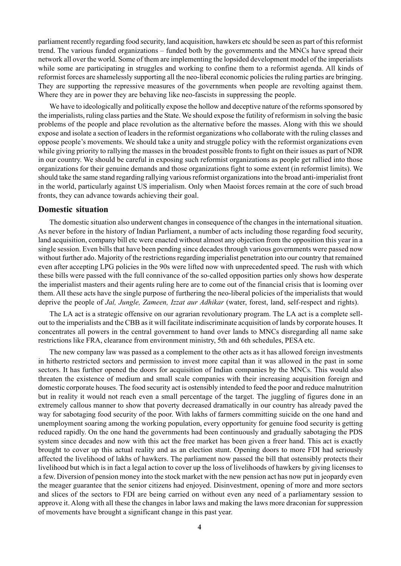parliament recently regarding food security, land acquisition, hawkers etc should be seen as part of this reformist trend. The various funded organizations – funded both by the governments and the MNCs have spread their network all over the world. Some of them are implementing the lopsided development model of the imperialists while some are participating in struggles and working to confine them to a reformist agenda. All kinds of reformist forces are shamelessly supporting all the neo-liberal economic policies the ruling parties are bringing. They are supporting the repressive measures of the governments when people are revolting against them. Where they are in power they are behaving like neo-fascists in suppressing the people.

We have to ideologically and politically expose the hollow and deceptive nature of the reforms sponsored by the imperialists, ruling class parties and the State. We should expose the futility of reformism in solving the basic problems of the people and place revolution as the alternative before the masses. Along with this we should expose and isolate a section of leaders in the reformist organizations who collaborate with the ruling classes and oppose people's movements. We should take a unity and struggle policy with the reformist organizations even while giving priority to rallying the masses in the broadest possible fronts to fight on their issues as part of NDR in our country. We should be careful in exposing such reformist organizations as people get rallied into those organizations for their genuine demands and those organizations fight to some extent (in reformist limits). We should take the same stand regarding rallying various reformist organizations into the broad anti-imperialist front in the world, particularly against US imperialism. Only when Maoist forces remain at the core of such broad fronts, they can advance towards achieving their goal.

#### **Domestic situation**

The domestic situation also underwent changes in consequence of the changes in the international situation. As never before in the history of Indian Parliament, a number of acts including those regarding food security, land acquisition, company bill etc were enacted without almost any objection from the opposition this year in a single session. Even bills that have been pending since decades through various governments were passed now without further ado. Majority of the restrictions regarding imperialist penetration into our country that remained even after accepting LPG policies in the 90s were lifted now with unprecedented speed. The rush with which these bills were passed with the full connivance of the so-called opposition parties only shows how desperate the imperialist masters and their agents ruling here are to come out of the financial crisis that is looming over them. All these acts have the single purpose of furthering the neo-liberal policies of the imperialists that would deprive the people of *Jal, Jungle, Zameen, Izzat aur Adhikar* (water, forest, land, self-respect and rights).

The LA act is a strategic offensive on our agrarian revolutionary program. The LA act is a complete sellout to the imperialists and the CBB as it will facilitate indiscriminate acquisition of lands by corporate houses. It concentrates all powers in the central government to hand over lands to MNCs disregarding all name sake restrictions like FRA, clearance from environment ministry, 5th and 6th schedules, PESA etc.

The new company law was passed as a complement to the other acts as it has allowed foreign investments in hitherto restricted sectors and permission to invest more capital than it was allowed in the past in some sectors. It has further opened the doors for acquisition of Indian companies by the MNCs. This would also threaten the existence of medium and small scale companies with their increasing acquisition foreign and domestic corporate houses. The food security act is ostensibly intended to feed the poor and reduce malnutrition but in reality it would not reach even a small percentage of the target. The juggling of figures done in an extremely callous manner to show that poverty decreased dramatically in our country has already paved the way for sabotaging food security of the poor. With lakhs of farmers committing suicide on the one hand and unemployment soaring among the working population, every opportunity for genuine food security is getting reduced rapidly. On the one hand the governments had been continuously and gradually sabotaging the PDS system since decades and now with this act the free market has been given a freer hand. This act is exactly brought to cover up this actual reality and as an election stunt. Opening doors to more FDI had seriously affected the livelihood of lakhs of hawkers. The parliament now passed the bill that ostensibly protects their livelihood but which is in fact a legal action to cover up the loss of livelihoods of hawkers by giving licenses to a few. Diversion of pension money into the stock market with the new pension act has now put in jeopardy even the meager guarantee that the senior citizens had enjoyed. Disinvestment, opening of more and more sectors and slices of the sectors to FDI are being carried on without even any need of a parliamentary session to approve it. Along with all these the changes in labor laws and making the laws more draconian for suppression of movements have brought a significant change in this past year.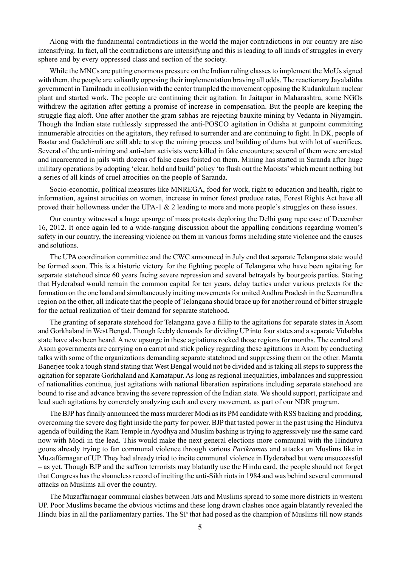Along with the fundamental contradictions in the world the major contradictions in our country are also intensifying. In fact, all the contradictions are intensifying and this is leading to all kinds of struggles in every sphere and by every oppressed class and section of the society.

While the MNCs are putting enormous pressure on the Indian ruling classes to implement the MoUs signed with them, the people are valiantly opposing their implementation braving all odds. The reactionary Jayalalitha government in Tamilnadu in collusion with the center trampled the movement opposing the Kudankulam nuclear plant and started work. The people are continuing their agitation. In Jaitapur in Maharashtra, some NGOs withdrew the agitation after getting a promise of increase in compensation. But the people are keeping the struggle flag aloft. One after another the gram sabhas are rejecting bauxite mining by Vedanta in Niyamgiri. Though the Indian state ruthlessly suppressed the anti-POSCO agitation in Odisha at gunpoint committing innumerable atrocities on the agitators, they refused to surrender and are continuing to fight. In DK, people of Bastar and Gadchiroli are still able to stop the mining process and building of dams but with lot of sacrifices. Several of the anti-mining and anti-dam activists were killed in fake encounters; several of them were arrested and incarcerated in jails with dozens of false cases foisted on them. Mining has started in Saranda after huge military operations by adopting 'clear, hold and build' policy 'to flush out the Maoists' which meant nothing but a series of all kinds of cruel atrocities on the people of Saranda.

Socio-economic, political measures like MNREGA, food for work, right to education and health, right to information, against atrocities on women, increase in minor forest produce rates, Forest Rights Act have all proved their hollowness under the UPA-1 & 2 leading to more and more people's struggles on these issues.

Our country witnessed a huge upsurge of mass protests deploring the Delhi gang rape case of December 16, 2012. It once again led to a wide-ranging discussion about the appalling conditions regarding women's safety in our country, the increasing violence on them in various forms including state violence and the causes and solutions.

The UPA coordination committee and the CWC announced in July end that separate Telangana state would be formed soon. This is a historic victory for the fighting people of Telangana who have been agitating for separate statehood since 60 years facing severe repression and several betrayals by bourgeois parties. Stating that Hyderabad would remain the common capital for ten years, delay tactics under various pretexts for the formation on the one hand and simultaneously inciting movements for united Andhra Pradesh in the Seemandhra region on the other, all indicate that the people of Telangana should brace up for another round of bitter struggle for the actual realization of their demand for separate statehood.

The granting of separate statehood for Telangana gave a fillip to the agitations for separate states in Asom and Gorkhaland in West Bengal. Though feebly demands for dividing UP into four states and a separate Vidarbha state have also been heard. A new upsurge in these agitations rocked those regions for months. The central and Asom governments are carrying on a carrot and stick policy regarding these agitations in Asom by conducting talks with some of the organizations demanding separate statehood and suppressing them on the other. Mamta Banerjee took a tough stand stating that West Bengal would not be divided and is taking all steps to suppress the agitation for separate Gorkhaland and Kamatapur. As long as regional inequalities, imbalances and suppression of nationalities continue, just agitations with national liberation aspirations including separate statehood are bound to rise and advance braving the severe repression of the Indian state. We should support, participate and lead such agitations by concretely analyzing each and every movement, as part of our NDR program.

The BJP has finally announced the mass murderer Modi as its PM candidate with RSS backing and prodding, overcoming the severe dog fight inside the party for power. BJP that tasted power in the past using the Hindutva agenda of building the Ram Temple in Ayodhya and Muslim bashing is trying to aggressively use the same card now with Modi in the lead. This would make the next general elections more communal with the Hindutva goons already trying to fan communal violence through various *Parikramas* and attacks on Muslims like in Muzaffarnagar of UP. They had already tried to incite communal violence in Hyderabad but were unsuccessful – as yet. Though BJP and the saffron terrorists may blatantly use the Hindu card, the people should not forget that Congress has the shameless record of inciting the anti-Sikh riots in 1984 and was behind several communal attacks on Muslims all over the country.

The Muzaffarnagar communal clashes between Jats and Muslims spread to some more districts in western UP. Poor Muslims became the obvious victims and these long drawn clashes once again blatantly revealed the Hindu bias in all the parliamentary parties. The SP that had posed as the champion of Muslims till now stands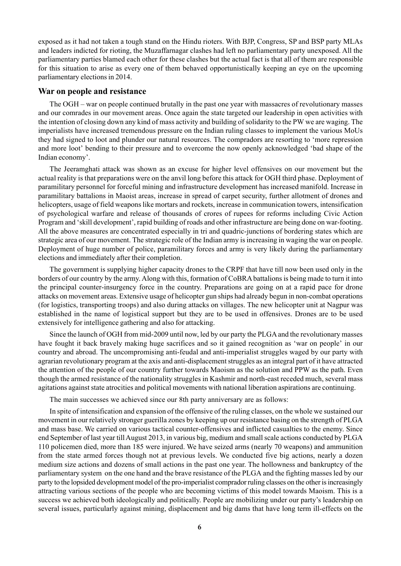exposed as it had not taken a tough stand on the Hindu rioters. With BJP, Congress, SP and BSP party MLAs and leaders indicted for rioting, the Muzaffarnagar clashes had left no parliamentary party unexposed. All the parliamentary parties blamed each other for these clashes but the actual fact is that all of them are responsible for this situation to arise as every one of them behaved opportunistically keeping an eye on the upcoming parliamentary elections in 2014.

#### **War on people and resistance**

The OGH – war on people continued brutally in the past one year with massacres of revolutionary masses and our comrades in our movement areas. Once again the state targeted our leadership in open activities with the intention of closing down any kind of mass activity and building of solidarity to the PW we are waging. The imperialists have increased tremendous pressure on the Indian ruling classes to implement the various MoUs they had signed to loot and plunder our natural resources. The compradors are resorting to 'more repression and more loot' bending to their pressure and to overcome the now openly acknowledged 'bad shape of the Indian economy'.

The Jeeramghati attack was shown as an excuse for higher level offensives on our movement but the actual reality is that preparations were on the anvil long before this attack for OGH third phase. Deployment of paramilitary personnel for forceful mining and infrastructure development has increased manifold. Increase in paramilitary battalions in Maoist areas, increase in spread of carpet security, further allotment of drones and helicopters, usage of field weapons like mortars and rockets, increase in communication towers, intensification of psychological warfare and release of thousands of crores of rupees for reforms including Civic Action Program and 'skill development', rapid building of roads and other infrastructure are being done on war-footing. All the above measures are concentrated especially in tri and quadric-junctions of bordering states which are strategic area of our movement. The strategic role of the Indian army is increasing in waging the war on people. Deployment of huge number of police, paramilitary forces and army is very likely during the parliamentary elections and immediately after their completion.

The government is supplying higher capacity drones to the CRPF that have till now been used only in the borders of our country by the army. Along with this, formation of CoBRA battalions is being made to turn it into the principal counter-insurgency force in the country. Preparations are going on at a rapid pace for drone attacks on movement areas. Extensive usage of helicopter gun ships had already begun in non-combat operations (for logistics, transporting troops) and also during attacks on villages. The new helicopter unit at Nagpur was established in the name of logistical support but they are to be used in offensives. Drones are to be used extensively for intelligence gathering and also for attacking.

Since the launch of OGH from mid-2009 until now, led by our party the PLGA and the revolutionary masses have fought it back bravely making huge sacrifices and so it gained recognition as 'war on people' in our country and abroad. The uncompromising anti-feudal and anti-imperialist struggles waged by our party with agrarian revolutionary program at the axis and anti-displacement struggles as an integral part of it have attracted the attention of the people of our country further towards Maoism as the solution and PPW as the path. Even though the armed resistance of the nationality struggles in Kashmir and north-east receded much, several mass agitations against state atrocities and political movements with national liberation aspirations are continuing.

The main successes we achieved since our 8th party anniversary are as follows:

In spite of intensification and expansion of the offensive of the ruling classes, on the whole we sustained our movement in our relatively stronger guerilla zones by keeping up our resistance basing on the strength of PLGA and mass base. We carried on various tactical counter-offensives and inflicted casualties to the enemy. Since end September of last year till August 2013, in various big, medium and small scale actions conducted by PLGA 110 policemen died, more than 185 were injured. We have seized arms (nearly 70 weapons) and ammunition from the state armed forces though not at previous levels. We conducted five big actions, nearly a dozen medium size actions and dozens of small actions in the past one year. The hollowness and bankruptcy of the parliamentary system on the one hand and the brave resistance of the PLGA and the fighting masses led by our party to the lopsided development model of the pro-imperialist comprador ruling classes on the other is increasingly attracting various sections of the people who are becoming victims of this model towards Maoism. This is a success we achieved both ideologically and politically. People are mobilizing under our party's leadership on several issues, particularly against mining, displacement and big dams that have long term ill-effects on the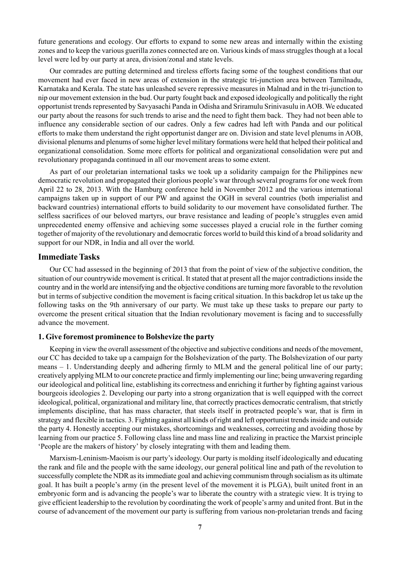future generations and ecology. Our efforts to expand to some new areas and internally within the existing zones and to keep the various guerilla zones connected are on. Various kinds of mass struggles though at a local level were led by our party at area, division/zonal and state levels.

Our comrades are putting determined and tireless efforts facing some of the toughest conditions that our movement had ever faced in new areas of extension in the strategic tri-junction area between Tamilnadu, Karnataka and Kerala. The state has unleashed severe repressive measures in Malnad and in the tri-junction to nip our movement extension in the bud. Our party fought back and exposed ideologically and politically the right opportunist trends represented by Savyasachi Panda in Odisha and Sriramulu Srinivasulu in AOB. We educated our party about the reasons for such trends to arise and the need to fight them back. They had not been able to influence any considerable section of our cadres. Only a few cadres had left with Panda and our political efforts to make them understand the right opportunist danger are on. Division and state level plenums in AOB, divisional plenums and plenums of some higher level military formations were held that helped their political and organizational consolidation. Some more efforts for political and organizational consolidation were put and revolutionary propaganda continued in all our movement areas to some extent.

As part of our proletarian international tasks we took up a solidarity campaign for the Philippines new democratic revolution and propagated their glorious people's war through several programs for one week from April 22 to 28, 2013. With the Hamburg conference held in November 2012 and the various international campaigns taken up in support of our PW and against the OGH in several countries (both imperialist and backward countries) international efforts to build solidarity to our movement have consolidated further. The selfless sacrifices of our beloved martyrs, our brave resistance and leading of people's struggles even amid unprecedented enemy offensive and achieving some successes played a crucial role in the further coming together of majority of the revolutionary and democratic forces world to build this kind of a broad solidarity and support for our NDR, in India and all over the world.

#### **Immediate Tasks**

Our CC had assessed in the beginning of 2013 that from the point of view of the subjective condition, the situation of our countrywide movement is critical. It stated that at present all the major contradictions inside the country and in the world are intensifying and the objective conditions are turning more favorable to the revolution but in terms of subjective condition the movement is facing critical situation. In this backdrop let us take up the following tasks on the 9th anniversary of our party. We must take up these tasks to prepare our party to overcome the present critical situation that the Indian revolutionary movement is facing and to successfully advance the movement.

#### **1. Give foremost prominence to Bolshevize the party**

Keeping in view the overall assessment of the objective and subjective conditions and needs of the movement, our CC has decided to take up a campaign for the Bolshevization of the party. The Bolshevization of our party means – 1. Understanding deeply and adhering firmly to MLM and the general political line of our party; creatively applying MLM to our concrete practice and firmly implementing our line; being unwavering regarding our ideological and political line, establishing its correctness and enriching it further by fighting against various bourgeois ideologies 2. Developing our party into a strong organization that is well equipped with the correct ideological, political, organizational and military line, that correctly practices democratic centralism, that strictly implements discipline, that has mass character, that steels itself in protracted people's war, that is firm in strategy and flexible in tactics. 3. Fighting against all kinds of right and left opportunist trends inside and outside the party 4. Honestly accepting our mistakes, shortcomings and weaknesses, correcting and avoiding those by learning from our practice 5. Following class line and mass line and realizing in practice the Marxist principle 'People are the makers of history' by closely integrating with them and leading them.

Marxism-Leninism-Maoism is our party's ideology. Our party is molding itself ideologically and educating the rank and file and the people with the same ideology, our general political line and path of the revolution to successfully complete the NDR as its immediate goal and achieving communism through socialism as its ultimate goal. It has built a people's army (in the present level of the movement it is PLGA), built united front in an embryonic form and is advancing the people's war to liberate the country with a strategic view. It is trying to give efficient leadership to the revolution by coordinating the work of people's army and united front. But in the course of advancement of the movement our party is suffering from various non-proletarian trends and facing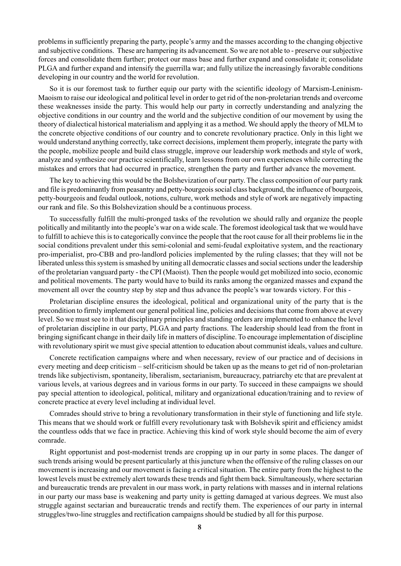problems in sufficiently preparing the party, people's army and the masses according to the changing objective and subjective conditions. These are hampering its advancement. So we are not able to - preserve our subjective forces and consolidate them further; protect our mass base and further expand and consolidate it; consolidate PLGA and further expand and intensify the guerrilla war; and fully utilize the increasingly favorable conditions developing in our country and the world for revolution.

So it is our foremost task to further equip our party with the scientific ideology of Marxism-Leninism-Maoism to raise our ideological and political level in order to get rid of the non-proletarian trends and overcome these weaknesses inside the party. This would help our party in correctly understanding and analyzing the objective conditions in our country and the world and the subjective condition of our movement by using the theory of dialectical historical materialism and applying it as a method. We should apply the theory of MLM to the concrete objective conditions of our country and to concrete revolutionary practice. Only in this light we would understand anything correctly, take correct decisions, implement them properly, integrate the party with the people, mobilize people and build class struggle, improve our leadership work methods and style of work, analyze and synthesize our practice scientifically, learn lessons from our own experiences while correcting the mistakes and errors that had occurred in practice, strengthen the party and further advance the movement.

The key to achieving this would be the Bolshevization of our party. The class composition of our party rank and file is predominantly from peasantry and petty-bourgeois social class background, the influence of bourgeois, petty-bourgeois and feudal outlook, notions, culture, work methods and style of work are negatively impacting our rank and file. So this Bolshevization should be a continuous process.

To successfully fulfill the multi-pronged tasks of the revolution we should rally and organize the people politically and militantly into the people's war on a wide scale. The foremost ideological task that we would have to fulfill to achieve this is to categorically convince the people that the root cause for all their problems lie in the social conditions prevalent under this semi-colonial and semi-feudal exploitative system, and the reactionary pro-imperialist, pro-CBB and pro-landlord policies implemented by the ruling classes; that they will not be liberated unless this system is smashed by uniting all democratic classes and social sections under the leadership of the proletarian vanguard party - the CPI (Maoist). Then the people would get mobilized into socio, economic and political movements. The party would have to build its ranks among the organized masses and expand the movement all over the country step by step and thus advance the people's war towards victory. For this -

Proletarian discipline ensures the ideological, political and organizational unity of the party that is the precondition to firmly implement our general political line, policies and decisions that come from above at every level. So we must see to it that disciplinary principles and standing orders are implemented to enhance the level of proletarian discipline in our party, PLGA and party fractions. The leadership should lead from the front in bringing significant change in their daily life in matters of discipline. To encourage implementation of discipline with revolutionary spirit we must give special attention to education about communist ideals, values and culture.

Concrete rectification campaigns where and when necessary, review of our practice and of decisions in every meeting and deep criticism – self-criticism should be taken up as the means to get rid of non-proletarian trends like subjectivism, spontaneity, liberalism, sectarianism, bureaucracy, patriarchy etc that are prevalent at various levels, at various degrees and in various forms in our party. To succeed in these campaigns we should pay special attention to ideological, political, military and organizational education/training and to review of concrete practice at every level including at individual level.

Comrades should strive to bring a revolutionary transformation in their style of functioning and life style. This means that we should work or fulfill every revolutionary task with Bolshevik spirit and efficiency amidst the countless odds that we face in practice. Achieving this kind of work style should become the aim of every comrade.

Right opportunist and post-modernist trends are cropping up in our party in some places. The danger of such trends arising would be present particularly at this juncture when the offensive of the ruling classes on our movement is increasing and our movement is facing a critical situation. The entire party from the highest to the lowest levels must be extremely alert towards these trends and fight them back. Simultaneously, where sectarian and bureaucratic trends are prevalent in our mass work, in party relations with masses and in internal relations in our party our mass base is weakening and party unity is getting damaged at various degrees. We must also struggle against sectarian and bureaucratic trends and rectify them. The experiences of our party in internal struggles/two-line struggles and rectification campaigns should be studied by all for this purpose.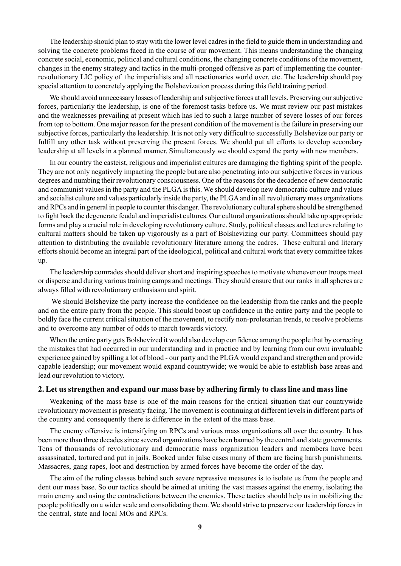The leadership should plan to stay with the lower level cadres in the field to guide them in understanding and solving the concrete problems faced in the course of our movement. This means understanding the changing concrete social, economic, political and cultural conditions, the changing concrete conditions of the movement, changes in the enemy strategy and tactics in the multi-pronged offensive as part of implementing the counterrevolutionary LIC policy of the imperialists and all reactionaries world over, etc. The leadership should pay special attention to concretely applying the Bolshevization process during this field training period.

We should avoid unnecessary losses of leadership and subjective forces at all levels. Preserving our subjective forces, particularly the leadership, is one of the foremost tasks before us. We must review our past mistakes and the weaknesses prevailing at present which has led to such a large number of severe losses of our forces from top to bottom. One major reason for the present condition of the movement is the failure in preserving our subjective forces, particularly the leadership. It is not only very difficult to successfully Bolshevize our party or fulfill any other task without preserving the present forces. We should put all efforts to develop secondary leadership at all levels in a planned manner. Simultaneously we should expand the party with new members.

In our country the casteist, religious and imperialist cultures are damaging the fighting spirit of the people. They are not only negatively impacting the people but are also penetrating into our subjective forces in various degrees and numbing their revolutionary consciousness. One of the reasons for the decadence of new democratic and communist values in the party and the PLGA is this. We should develop new democratic culture and values and socialist culture and values particularly inside the party, the PLGA and in all revolutionary mass organizations and RPCs and in general in people to counter this danger. The revolutionary cultural sphere should be strengthened to fight back the degenerate feudal and imperialist cultures. Our cultural organizations should take up appropriate forms and play a crucial role in developing revolutionary culture. Study, political classes and lectures relating to cultural matters should be taken up vigorously as a part of Bolshevizing our party. Committees should pay attention to distributing the available revolutionary literature among the cadres. These cultural and literary efforts should become an integral part of the ideological, political and cultural work that every committee takes up.

The leadership comrades should deliver short and inspiring speeches to motivate whenever our troops meet or disperse and during various training camps and meetings. They should ensure that our ranks in all spheres are always filled with revolutionary enthusiasm and spirit.

 We should Bolshevize the party increase the confidence on the leadership from the ranks and the people and on the entire party from the people. This should boost up confidence in the entire party and the people to boldly face the current critical situation of the movement, to rectify non-proletarian trends, to resolve problems and to overcome any number of odds to march towards victory.

When the entire party gets Bolshevized it would also develop confidence among the people that by correcting the mistakes that had occurred in our understanding and in practice and by learning from our own invaluable experience gained by spilling a lot of blood - our party and the PLGA would expand and strengthen and provide capable leadership; our movement would expand countrywide; we would be able to establish base areas and lead our revolution to victory.

#### **2. Let us strengthen and expand our mass base by adhering firmly to class line and mass line**

Weakening of the mass base is one of the main reasons for the critical situation that our countrywide revolutionary movement is presently facing. The movement is continuing at different levels in different parts of the country and consequently there is difference in the extent of the mass base.

The enemy offensive is intensifying on RPCs and various mass organizations all over the country. It has been more than three decades since several organizations have been banned by the central and state governments. Tens of thousands of revolutionary and democratic mass organization leaders and members have been assassinated, tortured and put in jails. Booked under false cases many of them are facing harsh punishments. Massacres, gang rapes, loot and destruction by armed forces have become the order of the day.

The aim of the ruling classes behind such severe repressive measures is to isolate us from the people and dent our mass base. So our tactics should be aimed at uniting the vast masses against the enemy, isolating the main enemy and using the contradictions between the enemies. These tactics should help us in mobilizing the people politically on a wider scale and consolidating them. We should strive to preserve our leadership forces in the central, state and local MOs and RPCs.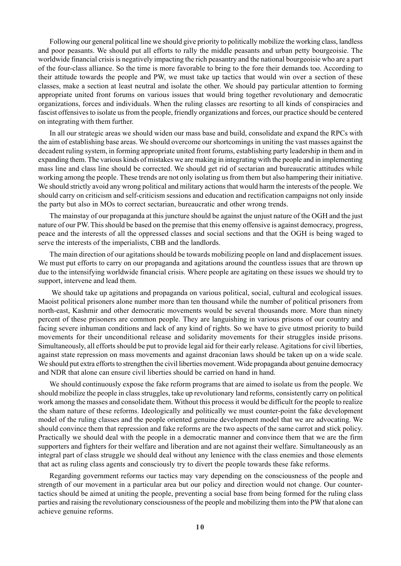Following our general political line we should give priority to politically mobilize the working class, landless and poor peasants. We should put all efforts to rally the middle peasants and urban petty bourgeoisie. The worldwide financial crisis is negatively impacting the rich peasantry and the national bourgeoisie who are a part of the four-class alliance. So the time is more favorable to bring to the fore their demands too. According to their attitude towards the people and PW, we must take up tactics that would win over a section of these classes, make a section at least neutral and isolate the other. We should pay particular attention to forming appropriate united front forums on various issues that would bring together revolutionary and democratic organizations, forces and individuals. When the ruling classes are resorting to all kinds of conspiracies and fascist offensives to isolate us from the people, friendly organizations and forces, our practice should be centered on integrating with them further.

In all our strategic areas we should widen our mass base and build, consolidate and expand the RPCs with the aim of establishing base areas. We should overcome our shortcomings in uniting the vast masses against the decadent ruling system, in forming appropriate united front forums, establishing party leadership in them and in expanding them. The various kinds of mistakes we are making in integrating with the people and in implementing mass line and class line should be corrected. We should get rid of sectarian and bureaucratic attitudes while working among the people. These trends are not only isolating us from them but also hampering their initiative. We should strictly avoid any wrong political and military actions that would harm the interests of the people. We should carry on criticism and self-criticism sessions and education and rectification campaigns not only inside the party but also in MOs to correct sectarian, bureaucratic and other wrong trends.

The mainstay of our propaganda at this juncture should be against the unjust nature of the OGH and the just nature of our PW. This should be based on the premise that this enemy offensive is against democracy, progress, peace and the interests of all the oppressed classes and social sections and that the OGH is being waged to serve the interests of the imperialists, CBB and the landlords.

The main direction of our agitations should be towards mobilizing people on land and displacement issues. We must put efforts to carry on our propaganda and agitations around the countless issues that are thrown up due to the intensifying worldwide financial crisis. Where people are agitating on these issues we should try to support, intervene and lead them.

 We should take up agitations and propaganda on various political, social, cultural and ecological issues. Maoist political prisoners alone number more than ten thousand while the number of political prisoners from north-east, Kashmir and other democratic movements would be several thousands more. More than ninety percent of these prisoners are common people. They are languishing in various prisons of our country and facing severe inhuman conditions and lack of any kind of rights. So we have to give utmost priority to build movements for their unconditional release and solidarity movements for their struggles inside prisons. Simultaneously, all efforts should be put to provide legal aid for their early release. Agitations for civil liberties, against state repression on mass movements and against draconian laws should be taken up on a wide scale. We should put extra efforts to strengthen the civil liberties movement. Wide propaganda about genuine democracy and NDR that alone can ensure civil liberties should be carried on hand in hand.

We should continuously expose the fake reform programs that are aimed to isolate us from the people. We should mobilize the people in class struggles, take up revolutionary land reforms, consistently carry on political work among the masses and consolidate them. Without this process it would be difficult for the people to realize the sham nature of these reforms. Ideologically and politically we must counter-point the fake development model of the ruling classes and the people oriented genuine development model that we are advocating. We should convince them that repression and fake reforms are the two aspects of the same carrot and stick policy. Practically we should deal with the people in a democratic manner and convince them that we are the firm supporters and fighters for their welfare and liberation and are not against their welfare. Simultaneously as an integral part of class struggle we should deal without any lenience with the class enemies and those elements that act as ruling class agents and consciously try to divert the people towards these fake reforms.

Regarding government reforms our tactics may vary depending on the consciousness of the people and strength of our movement in a particular area but our policy and direction would not change. Our countertactics should be aimed at uniting the people, preventing a social base from being formed for the ruling class parties and raising the revolutionary consciousness of the people and mobilizing them into the PW that alone can achieve genuine reforms.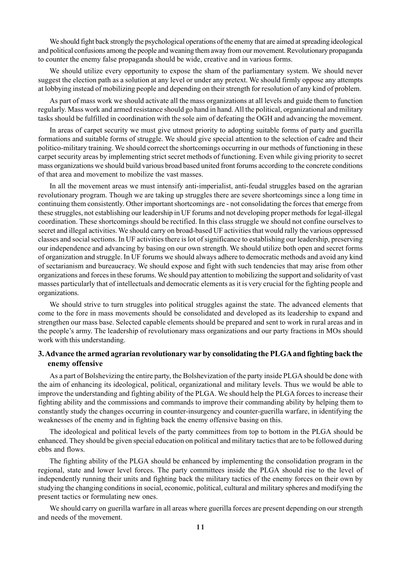We should fight back strongly the psychological operations of the enemy that are aimed at spreading ideological and political confusions among the people and weaning them away from our movement. Revolutionary propaganda to counter the enemy false propaganda should be wide, creative and in various forms.

We should utilize every opportunity to expose the sham of the parliamentary system. We should never suggest the election path as a solution at any level or under any pretext. We should firmly oppose any attempts at lobbying instead of mobilizing people and depending on their strength for resolution of any kind of problem.

As part of mass work we should activate all the mass organizations at all levels and guide them to function regularly. Mass work and armed resistance should go hand in hand. All the political, organizational and military tasks should be fulfilled in coordination with the sole aim of defeating the OGH and advancing the movement.

In areas of carpet security we must give utmost priority to adopting suitable forms of party and guerilla formations and suitable forms of struggle. We should give special attention to the selection of cadre and their politico-military training. We should correct the shortcomings occurring in our methods of functioning in these carpet security areas by implementing strict secret methods of functioning. Even while giving priority to secret mass organizations we should build various broad based united front forums according to the concrete conditions of that area and movement to mobilize the vast masses.

In all the movement areas we must intensify anti-imperialist, anti-feudal struggles based on the agrarian revolutionary program. Though we are taking up struggles there are severe shortcomings since a long time in continuing them consistently. Other important shortcomings are - not consolidating the forces that emerge from these struggles, not establishing our leadership in UF forums and not developing proper methods for legal-illegal coordination. These shortcomings should be rectified. In this class struggle we should not confine ourselves to secret and illegal activities. We should carry on broad-based UF activities that would rally the various oppressed classes and social sections. In UF activities there is lot of significance to establishing our leadership, preserving our independence and advancing by basing on our own strength. We should utilize both open and secret forms of organization and struggle. In UF forums we should always adhere to democratic methods and avoid any kind of sectarianism and bureaucracy. We should expose and fight with such tendencies that may arise from other organizations and forces in these forums. We should pay attention to mobilizing the support and solidarity of vast masses particularly that of intellectuals and democratic elements as it is very crucial for the fighting people and organizations.

We should strive to turn struggles into political struggles against the state. The advanced elements that come to the fore in mass movements should be consolidated and developed as its leadership to expand and strengthen our mass base. Selected capable elements should be prepared and sent to work in rural areas and in the people's army. The leadership of revolutionary mass organizations and our party fractions in MOs should work with this understanding.

#### **3. Advance the armed agrarian revolutionary war by consolidating the PLGA and fighting back the enemy offensive**

As a part of Bolshevizing the entire party, the Bolshevization of the party inside PLGA should be done with the aim of enhancing its ideological, political, organizational and military levels. Thus we would be able to improve the understanding and fighting ability of the PLGA. We should help the PLGA forces to increase their fighting ability and the commissions and commands to improve their commanding ability by helping them to constantly study the changes occurring in counter-insurgency and counter-guerilla warfare, in identifying the weaknesses of the enemy and in fighting back the enemy offensive basing on this.

The ideological and political levels of the party committees from top to bottom in the PLGA should be enhanced. They should be given special education on political and military tactics that are to be followed during ebbs and flows.

The fighting ability of the PLGA should be enhanced by implementing the consolidation program in the regional, state and lower level forces. The party committees inside the PLGA should rise to the level of independently running their units and fighting back the military tactics of the enemy forces on their own by studying the changing conditions in social, economic, political, cultural and military spheres and modifying the present tactics or formulating new ones.

We should carry on guerilla warfare in all areas where guerilla forces are present depending on our strength and needs of the movement.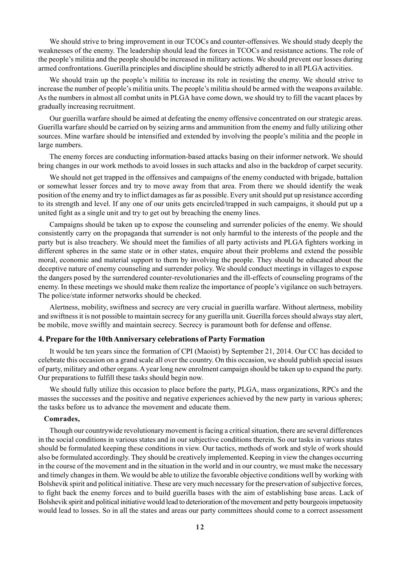We should strive to bring improvement in our TCOCs and counter-offensives. We should study deeply the weaknesses of the enemy. The leadership should lead the forces in TCOCs and resistance actions. The role of the people's militia and the people should be increased in military actions. We should prevent our losses during armed confrontations. Guerilla principles and discipline should be strictly adhered to in all PLGA activities.

We should train up the people's militia to increase its role in resisting the enemy. We should strive to increase the number of people's militia units. The people's militia should be armed with the weapons available. As the numbers in almost all combat units in PLGA have come down, we should try to fill the vacant places by gradually increasing recruitment.

Our guerilla warfare should be aimed at defeating the enemy offensive concentrated on our strategic areas. Guerilla warfare should be carried on by seizing arms and ammunition from the enemy and fully utilizing other sources. Mine warfare should be intensified and extended by involving the people's militia and the people in large numbers.

The enemy forces are conducting information-based attacks basing on their informer network. We should bring changes in our work methods to avoid losses in such attacks and also in the backdrop of carpet security.

We should not get trapped in the offensives and campaigns of the enemy conducted with brigade, battalion or somewhat lesser forces and try to move away from that area. From there we should identify the weak position of the enemy and try to inflict damages as far as possible. Every unit should put up resistance according to its strength and level. If any one of our units gets encircled/trapped in such campaigns, it should put up a united fight as a single unit and try to get out by breaching the enemy lines.

Campaigns should be taken up to expose the counseling and surrender policies of the enemy. We should consistently carry on the propaganda that surrender is not only harmful to the interests of the people and the party but is also treachery. We should meet the families of all party activists and PLGA fighters working in different spheres in the same state or in other states, enquire about their problems and extend the possible moral, economic and material support to them by involving the people. They should be educated about the deceptive nature of enemy counseling and surrender policy. We should conduct meetings in villages to expose the dangers posed by the surrendered counter-revolutionaries and the ill-effects of counseling programs of the enemy. In these meetings we should make them realize the importance of people's vigilance on such betrayers. The police/state informer networks should be checked.

Alertness, mobility, swiftness and secrecy are very crucial in guerilla warfare. Without alertness, mobility and swiftness it is not possible to maintain secrecy for any guerilla unit. Guerilla forces should always stay alert, be mobile, move swiftly and maintain secrecy. Secrecy is paramount both for defense and offense.

#### **4. Prepare for the 10th Anniversary celebrations of Party Formation**

It would be ten years since the formation of CPI (Maoist) by September 21, 2014. Our CC has decided to celebrate this occasion on a grand scale all over the country. On this occasion, we should publish special issues of party, military and other organs. A year long new enrolment campaign should be taken up to expand the party. Our preparations to fulfill these tasks should begin now.

We should fully utilize this occasion to place before the party, PLGA, mass organizations, RPCs and the masses the successes and the positive and negative experiences achieved by the new party in various spheres; the tasks before us to advance the movement and educate them.

#### **Comrades,**

Though our countrywide revolutionary movement is facing a critical situation, there are several differences in the social conditions in various states and in our subjective conditions therein. So our tasks in various states should be formulated keeping these conditions in view. Our tactics, methods of work and style of work should also be formulated accordingly. They should be creatively implemented. Keeping in view the changes occurring in the course of the movement and in the situation in the world and in our country, we must make the necessary and timely changes in them. We would be able to utilize the favorable objective conditions well by working with Bolshevik spirit and political initiative. These are very much necessary for the preservation of subjective forces, to fight back the enemy forces and to build guerilla bases with the aim of establishing base areas. Lack of Bolshevik spirit and political initiative would lead to deterioration of the movement and petty bourgeois impetuosity would lead to losses. So in all the states and areas our party committees should come to a correct assessment